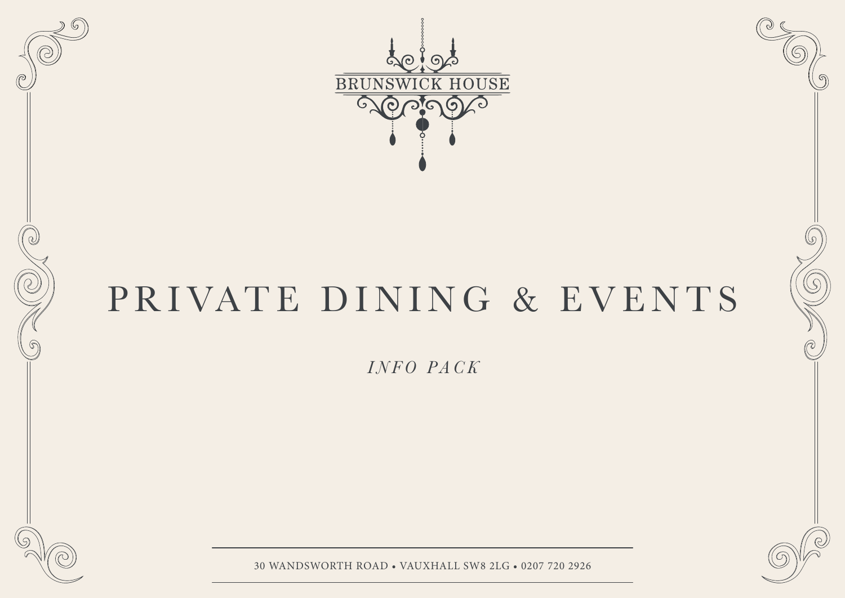

# PRIVATE DINING & EVENTS

*INFO PACK*



- 1 - 30 WANDSWORTH ROAD • VAUXHALL SW8 2LG • 0207 720 2926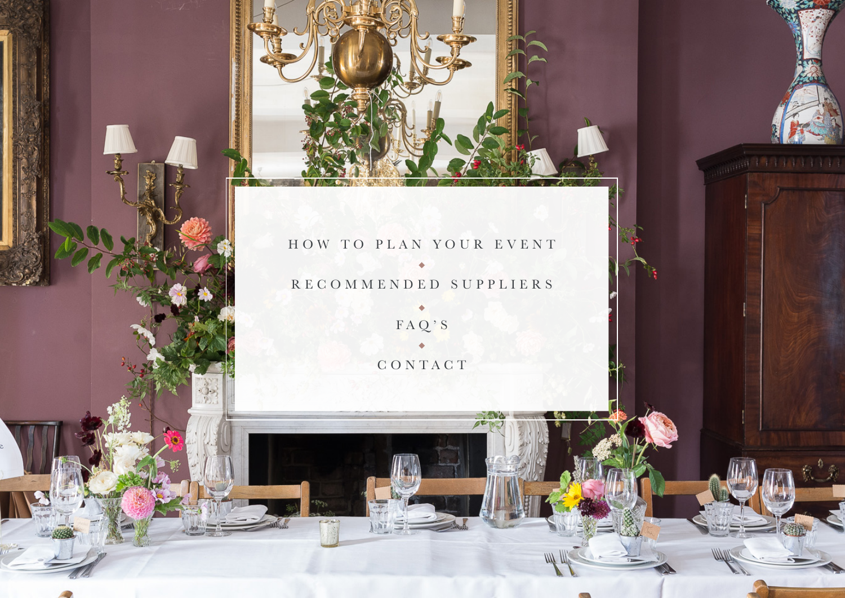

## HOW TO PLAN YOUR EVENT  $\triangle$ RECOMMENDED SUPPLIERS

FEEL ALLEEP Million

FAQ'S CONTACT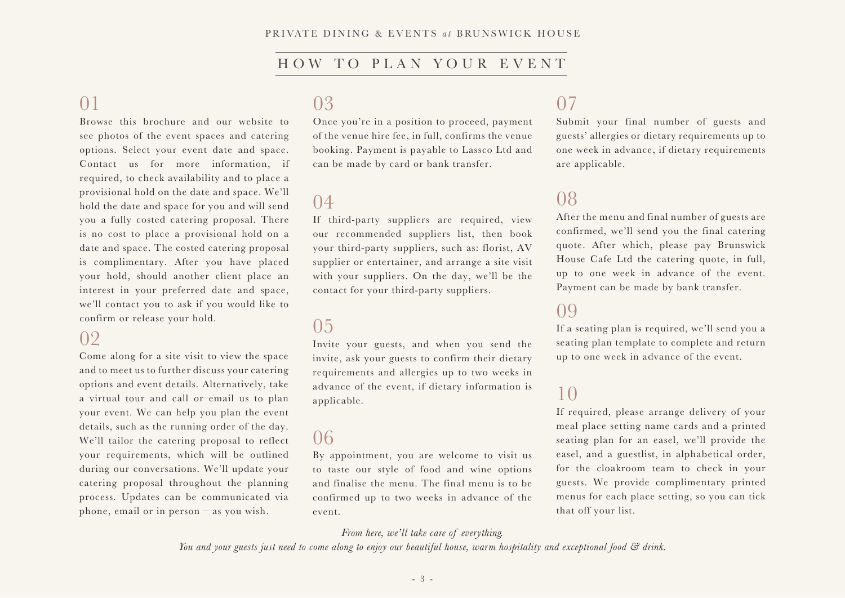### HOW TO PLAN YOUR EVENT

### 01

Browse this brochure and our website to see photos of the event spaces and catering options. Select your event date and space. Contact us for more information, if required, to check availability and to place a provisional hold on the date and space. We'll hold the date and space for you and will send you a fully costed catering proposal. There is no cost to place a provisional hold on a date and space. The costed catering proposal is complimentary. After you have placed your hold, should another client place an interest in your preferred date and space, we'll contact you to ask if you would like to confirm or release your hold.

### 02

Come along for a site visit to view the space and to meet us to further discuss your catering options and event details. Alternatively, take a virtual tour and call or email us to plan your event. We can help you plan the event details, such as the running order of the day. We'll tailor the catering proposal to reflect your requirements, which will be outlined during our conversations. We'll update your catering proposal throughout the planning process. Updates can be communicated via phone, email or in person – as you wish.

### 03

Once you're in a position to proceed, payment of the venue hire fee, in full, confirms the venue booking. Payment is payable to Lassco Ltd and can be made by card or bank transfer.

### 04

If third-party suppliers are required, view our recommended suppliers list, then book your third-party suppliers, such as: florist, AV supplier or entertainer, and arrange a site visit with your suppliers. On the day, we'll be the contact for your third-party suppliers.

### 05

Invite your guests, and when you send the invite, ask your guests to confirm their dietary requirements and allergies up to two weeks in advance of the event, if dietary information is applicable.

### 06

By appointment, you are welcome to visit us to taste our style of food and wine options and finalise the menu. The final menu is to be confirmed up to two weeks in advance of the event.

#### *From here, we'll take care of everything.*

*You and your guests just need to come along to enjoy our beautiful house, warm hospitality and exceptional food & drink.*

### 07

Submit your final number of guests and guests' allergies or dietary requirements up to one week in advance, if dietary requirements are applicable.

### 08

After the menu and final number of guests are confirmed, we'll send you the final catering quote. After which, please pay Brunswick House Cafe Ltd the catering quote, in full, up to one week in advance of the event. Payment can be made by bank transfer.

### 09

If a seating plan is required, we'll send you a seating plan template to complete and return up to one week in advance of the event.

### 10

If required, please arrange delivery of your meal place setting name cards and a printed seating plan for an easel, we'll provide the easel, and a guestlist, in alphabetical order, for the cloakroom team to check in your guests. We provide complimentary printed menus for each place setting, so you can tick that off your list.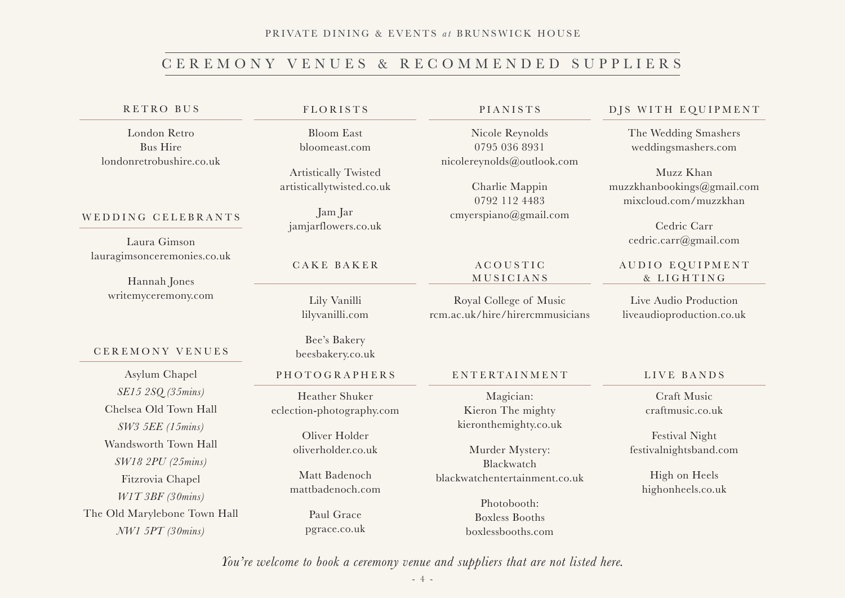#### PRIVATE DINING & EVENTS at BRUNSWICK HOUSE

### CEREMONY VENUES & RECOMMENDED SUPPLIERS

#### RETRO BUS

London Retro Bus Hire londonretrobushire.co.uk

#### WEDDING CELEBRANTS

Laura Gimson lauragimsonceremonies.co.uk

> Hannah Jones writemyceremony.com

#### CEREMONY VENUES

Asylum Chapel PHOTOGRAPHERS *SE15 2SQ (35mins)* Chelsea Old Town Hall *SW3 5EE (15mins)* Wandsworth Town Hall *SW18 2PU (25mins)* Fitzrovia Chapel *W1T 3BF (30mins)* The Old Marylebone Town Hall *NW1 5PT (30mins)* 

#### FLORISTS

Bloom East bloomeast.com

Artistically Twisted artisticallytwisted.co.uk

Jam Jar jamjarflowers.co.uk

#### CAKE BAKER

Lily Vanilli lilyvanilli.com

Bee's Bakery beesbakery.co.uk

Heather Shuker eclection-photography.com

> Oliver Holder oliverholder.co.uk

Matt Badenoch mattbadenoch.com

> Paul Grace pgrace.co.uk

#### PIANISTS

Nicole Reynolds 0795 036 8931 nicolereynolds@outlook.com

Charlie Mappin 0792 112 4483 cmyerspiano@gmail.com

#### A C O U S T I C MUSICIANS

Royal College of Music rcm.ac.uk/hire/hirercmmusicians

#### ENTERTAINMENT

Magician: Kieron The mighty kieronthemighty.co.uk

Murder Mystery: Blackwatch blackwatchentertainment.co.uk

> Photobooth: Boxless Booths boxlessbooths.com

#### DJS WITH EQUIPMENT

The Wedding Smashers weddingsmashers.com

Muzz Khan muzzkhanbookings@gmail.com mixcloud.com/muzzkhan

> Cedric Carr cedric.carr@gmail.com

#### AUDIO EQUIPMENT & LIGHTING

Live Audio Production liveaudioproduction.co.uk

#### LIVE BANDS

Craft Music craftmusic.co.uk

Festival Night festivalnightsband.com

High on Heels highonheels.co.uk

*You're welcome to book a ceremony venue and suppliers that are not listed here.*

- 4 -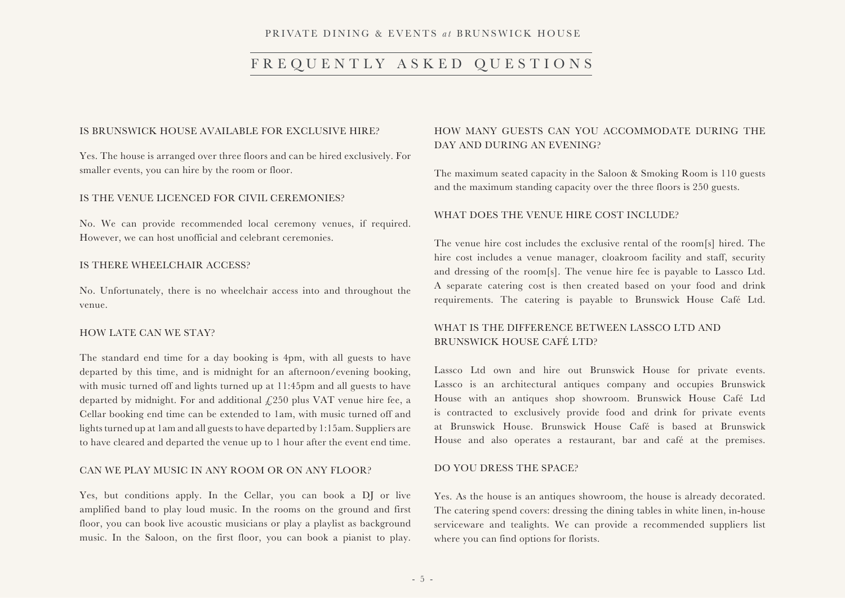#### PRIVATE DINING & EVENTS *a t* BRUNSWICK HOUSE

### FREQUENTLY ASKED QUESTIONS

#### IS BRUNSWICK HOUSE AVAILABLE FOR EXCLUSIVE HIRE?

Yes. The house is arranged over three floors and can be hired exclusively. For smaller events, you can hire by the room or floor.

#### IS THE VENUE LICENCED FOR CIVIL CEREMONIES?

No. We can provide recommended local ceremony venues, if required. However, we can host unofficial and celebrant ceremonies.

#### IS THERE WHEELCHAIR ACCESS?

No. Unfortunately, there is no wheelchair access into and throughout the venue.

#### HOW LATE CAN WE STAY?

The standard end time for a day booking is 4pm, with all guests to have departed by this time, and is midnight for an afternoon/evening booking, with music turned off and lights turned up at 11:45pm and all guests to have departed by midnight. For and additional  $f(250)$  plus VAT venue hire fee, a Cellar booking end time can be extended to 1am, with music turned off and lights turned up at 1am and all guests to have departed by 1:15am. Suppliers are to have cleared and departed the venue up to 1 hour after the event end time.

#### CAN WE PLAY MUSIC IN ANY ROOM OR ON ANY FLOOR?

Yes, but conditions apply. In the Cellar, you can book a DJ or live amplified band to play loud music. In the rooms on the ground and first floor, you can book live acoustic musicians or play a playlist as background music. In the Saloon, on the first floor, you can book a pianist to play.

### HOW MANY GUESTS CAN YOU ACCOMMODATE DURING THE DAY AND DURING AN EVENING?

The maximum seated capacity in the Saloon & Smoking Room is 110 guests and the maximum standing capacity over the three floors is 250 guests.

#### WHAT DOES THE VENUE HIRE COST INCLUDE?

The venue hire cost includes the exclusive rental of the room[s] hired. The hire cost includes a venue manager, cloakroom facility and staff, security and dressing of the room[s]. The venue hire fee is payable to Lassco Ltd. A separate catering cost is then created based on your food and drink requirements. The catering is payable to Brunswick House Café Ltd.

#### WHAT IS THE DIFFERENCE BETWEEN LASSCO LTD AND BRUNSWICK HOUSE CAFÉ LTD?

Lassco Ltd own and hire out Brunswick House for private events. Lassco is an architectural antiques company and occupies Brunswick House with an antiques shop showroom. Brunswick House Café Ltd is contracted to exclusively provide food and drink for private events at Brunswick House. Brunswick House Café is based at Brunswick House and also operates a restaurant, bar and café at the premises.

#### DO YOU DRESS THE SPACE?

Yes. As the house is an antiques showroom, the house is already decorated. The catering spend covers: dressing the dining tables in white linen, in-house serviceware and tealights. We can provide a recommended suppliers list where you can find options for florists.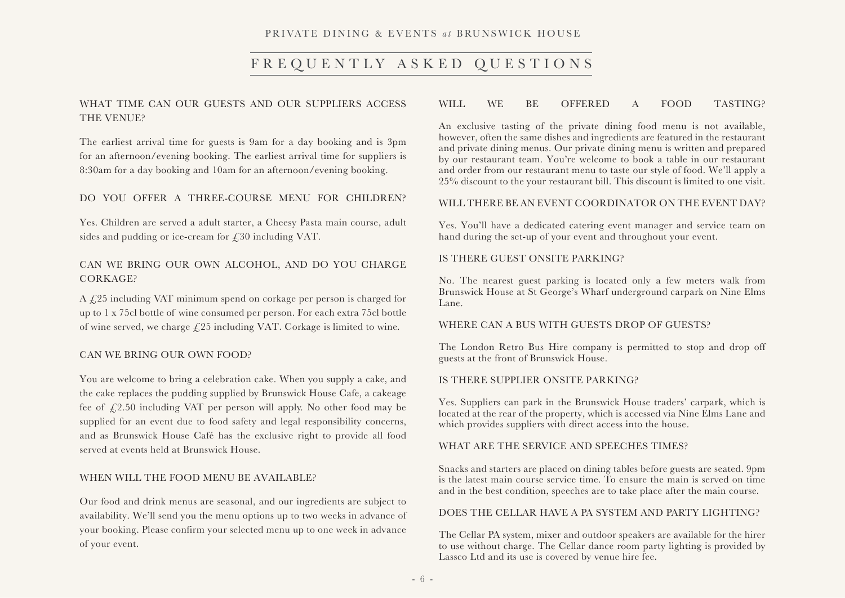#### PRIVATE DINING & EVENTS *a t* BRUNSWICK HOUSE

### FREQUENTLY ASKED QUESTIONS

### WHAT TIME CAN OUR GUESTS AND OUR SUPPLIERS ACCESS THE VENUE?

The earliest arrival time for guests is 9am for a day booking and is 3pm for an afternoon/evening booking. The earliest arrival time for suppliers is 8:30am for a day booking and 10am for an afternoon/evening booking.

#### DO YOU OFFER A THREE-COURSE MENU FOR CHILDREN?

Yes. Children are served a adult starter, a Cheesy Pasta main course, adult sides and pudding or ice-cream for £30 including VAT.

#### CAN WE BRING OUR OWN ALCOHOL, AND DO YOU CHARGE CORKAGE?

A £25 including VAT minimum spend on corkage per person is charged for up to 1 x 75cl bottle of wine consumed per person. For each extra 75cl bottle of wine served, we charge  $\sqrt{25}$  including VAT. Corkage is limited to wine.

#### CAN WE BRING OUR OWN FOOD?

You are welcome to bring a celebration cake. When you supply a cake, and the cake replaces the pudding supplied by Brunswick House Cafe, a cakeage fee of  $\sqrt{2.50}$  including VAT per person will apply. No other food may be supplied for an event due to food safety and legal responsibility concerns, and as Brunswick House Café has the exclusive right to provide all food served at events held at Brunswick House.

#### WHEN WILL THE FOOD MENU BE AVAILABLE?

Our food and drink menus are seasonal, and our ingredients are subject to availability. We'll send you the menu options up to two weeks in advance of your booking. Please confirm your selected menu up to one week in advance of your event.

#### WILL WE BE OFFERED A FOOD TASTING?

An exclusive tasting of the private dining food menu is not available, however, often the same dishes and ingredients are featured in the restaurant and private dining menus. Our private dining menu is written and prepared by our restaurant team. You're welcome to book a table in our restaurant and order from our restaurant menu to taste our style of food. We'll apply a 25% discount to the your restaurant bill. This discount is limited to one visit.

#### WILL THERE BE AN EVENT COORDINATOR ON THE EVENT DAY?

Yes. You'll have a dedicated catering event manager and service team on hand during the set-up of your event and throughout your event.

#### IS THERE GUEST ONSITE PARKING?

No. The nearest guest parking is located only a few meters walk from Brunswick House at St George's Wharf underground carpark on Nine Elms Lane.

#### WHERE CAN A BUS WITH GUESTS DROP OF GUESTS?

The London Retro Bus Hire company is permitted to stop and drop off guests at the front of Brunswick House.

#### IS THERE SUPPLIER ONSITE PARKING?

Yes. Suppliers can park in the Brunswick House traders' carpark, which is located at the rear of the property, which is accessed via Nine Elms Lane and which provides suppliers with direct access into the house.

#### WHAT ARE THE SERVICE AND SPEECHES TIMES?

Snacks and starters are placed on dining tables before guests are seated. 9pm is the latest main course service time. To ensure the main is served on time and in the best condition, speeches are to take place after the main course.

#### DOES THE CELLAR HAVE A PA SYSTEM AND PARTY LIGHTING?

The Cellar PA system, mixer and outdoor speakers are available for the hirer to use without charge. The Cellar dance room party lighting is provided by Lassco Ltd and its use is covered by venue hire fee.